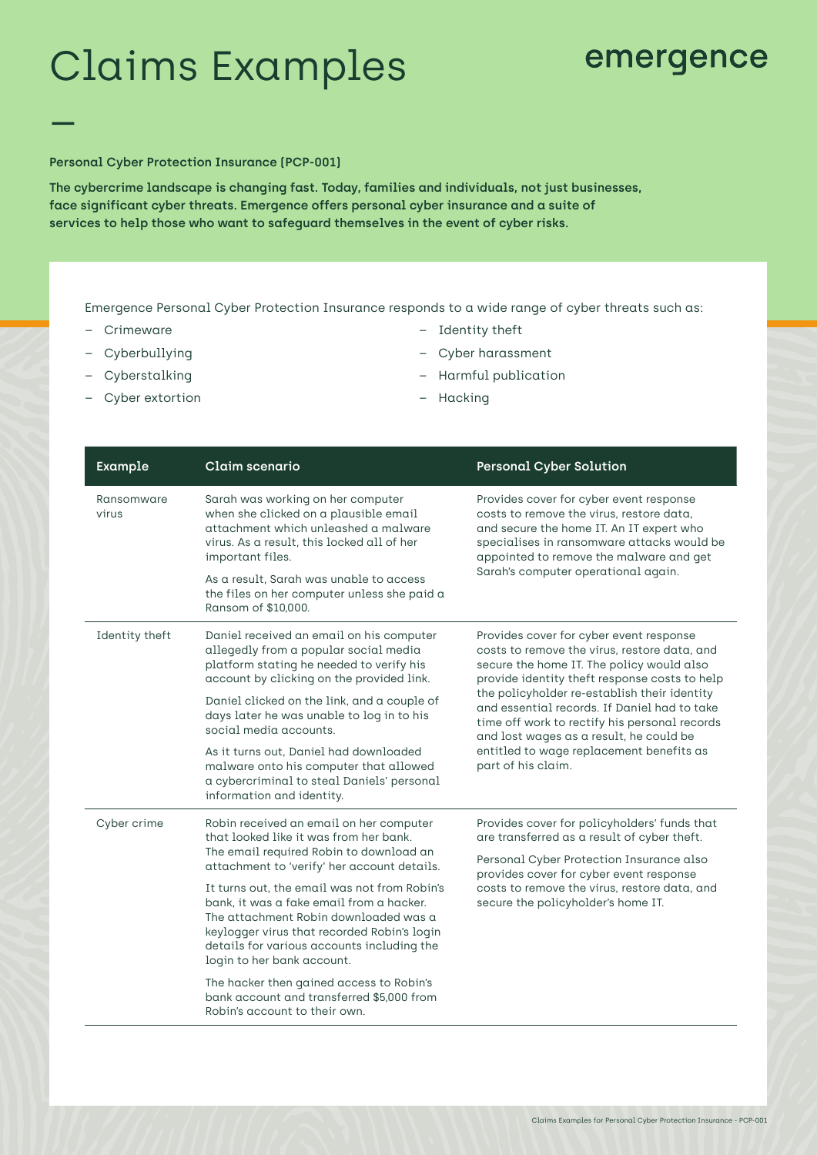# Claims Examples \_

## emergence

#### **Personal Cyber Protection Insurance (PCP-001)**

**The cybercrime landscape is changing fast. Today, families and individuals, not just businesses, face significant cyber threats. Emergence offers personal cyber insurance and a suite of services to help those who want to safeguard themselves in the event of cyber risks.**

Emergence Personal Cyber Protection Insurance responds to a wide range of cyber threats such as:

- Crimeware
- Cyberbullying
- Cyberstalking
- Cyber extortion
- Identity theft
- Cyber harassment
- Harmful publication
- Hacking

| Example             | Claim scenario                                                                                                                                                                                                                                                                                                                                                                                                                                                                                                                                                        | <b>Personal Cyber Solution</b>                                                                                                                                                                                                                                                                                                                                                                                                                      |
|---------------------|-----------------------------------------------------------------------------------------------------------------------------------------------------------------------------------------------------------------------------------------------------------------------------------------------------------------------------------------------------------------------------------------------------------------------------------------------------------------------------------------------------------------------------------------------------------------------|-----------------------------------------------------------------------------------------------------------------------------------------------------------------------------------------------------------------------------------------------------------------------------------------------------------------------------------------------------------------------------------------------------------------------------------------------------|
| Ransomware<br>virus | Sarah was working on her computer<br>when she clicked on a plausible email<br>attachment which unleashed a malware<br>virus. As a result, this locked all of her<br>important files.<br>As a result, Sarah was unable to access<br>the files on her computer unless she paid a<br>Ransom of \$10,000.                                                                                                                                                                                                                                                                 | Provides cover for cyber event response<br>costs to remove the virus, restore data,<br>and secure the home IT. An IT expert who<br>specialises in ransomware attacks would be<br>appointed to remove the malware and get<br>Sarah's computer operational again.                                                                                                                                                                                     |
| Identity theft      | Daniel received an email on his computer<br>allegedly from a popular social media<br>platform stating he needed to verify his<br>account by clicking on the provided link.<br>Daniel clicked on the link, and a couple of<br>days later he was unable to log in to his<br>social media accounts.<br>As it turns out, Daniel had downloaded<br>malware onto his computer that allowed<br>a cybercriminal to steal Daniels' personal<br>information and identity.                                                                                                       | Provides cover for cyber event response<br>costs to remove the virus, restore data, and<br>secure the home IT. The policy would also<br>provide identity theft response costs to help<br>the policyholder re-establish their identity<br>and essential records. If Daniel had to take<br>time off work to rectify his personal records<br>and lost wages as a result, he could be<br>entitled to wage replacement benefits as<br>part of his claim. |
| Cyber crime         | Robin received an email on her computer<br>that looked like it was from her bank.<br>The email required Robin to download an<br>attachment to 'verify' her account details.<br>It turns out, the email was not from Robin's<br>bank, it was a fake email from a hacker.<br>The attachment Robin downloaded was a<br>keylogger virus that recorded Robin's login<br>details for various accounts including the<br>login to her bank account.<br>The hacker then gained access to Robin's<br>bank account and transferred \$5,000 from<br>Robin's account to their own. | Provides cover for policyholders' funds that<br>are transferred as a result of cyber theft.<br>Personal Cyber Protection Insurance also<br>provides cover for cyber event response<br>costs to remove the virus, restore data, and<br>secure the policyholder's home IT.                                                                                                                                                                            |